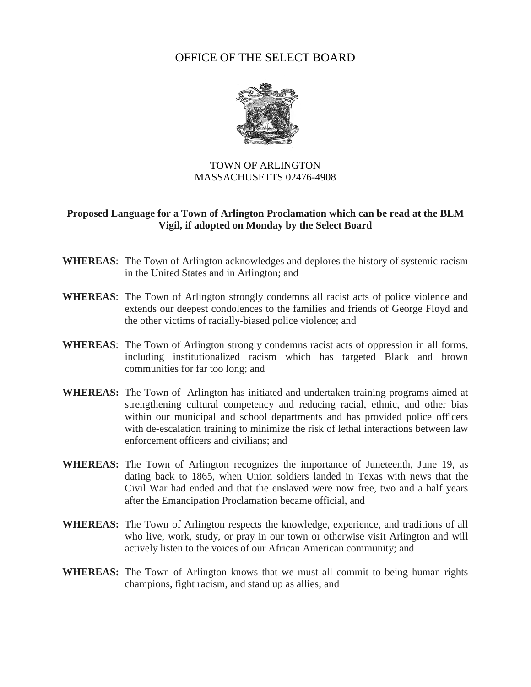## OFFICE OF THE SELECT BOARD



## TOWN OF ARLINGTON MASSACHUSETTS 02476-4908

## **Proposed Language for a Town of Arlington Proclamation which can be read at the BLM Vigil, if adopted on Monday by the Select Board**

- **WHEREAS**: The Town of Arlington acknowledges and deplores the history of systemic racism in the United States and in Arlington; and
- **WHEREAS**: The Town of Arlington strongly condemns all racist acts of police violence and extends our deepest condolences to the families and friends of George Floyd and the other victims of racially-biased police violence; and
- **WHEREAS**: The Town of Arlington strongly condemns racist acts of oppression in all forms, including institutionalized racism which has targeted Black and brown communities for far too long; and
- **WHEREAS:** The Town of Arlington has initiated and undertaken training programs aimed at strengthening cultural competency and reducing racial, ethnic, and other bias within our municipal and school departments and has provided police officers with de-escalation training to minimize the risk of lethal interactions between law enforcement officers and civilians; and
- **WHEREAS:** The Town of Arlington recognizes the importance of Juneteenth, June 19, as dating back to 1865, when Union soldiers landed in Texas with news that the Civil War had ended and that the enslaved were now free, two and a half years after the Emancipation Proclamation became official, and
- **WHEREAS:** The Town of Arlington respects the knowledge, experience, and traditions of all who live, work, study, or pray in our town or otherwise visit Arlington and will actively listen to the voices of our African American community; and
- **WHEREAS:** The Town of Arlington knows that we must all commit to being human rights champions, fight racism, and stand up as allies; and